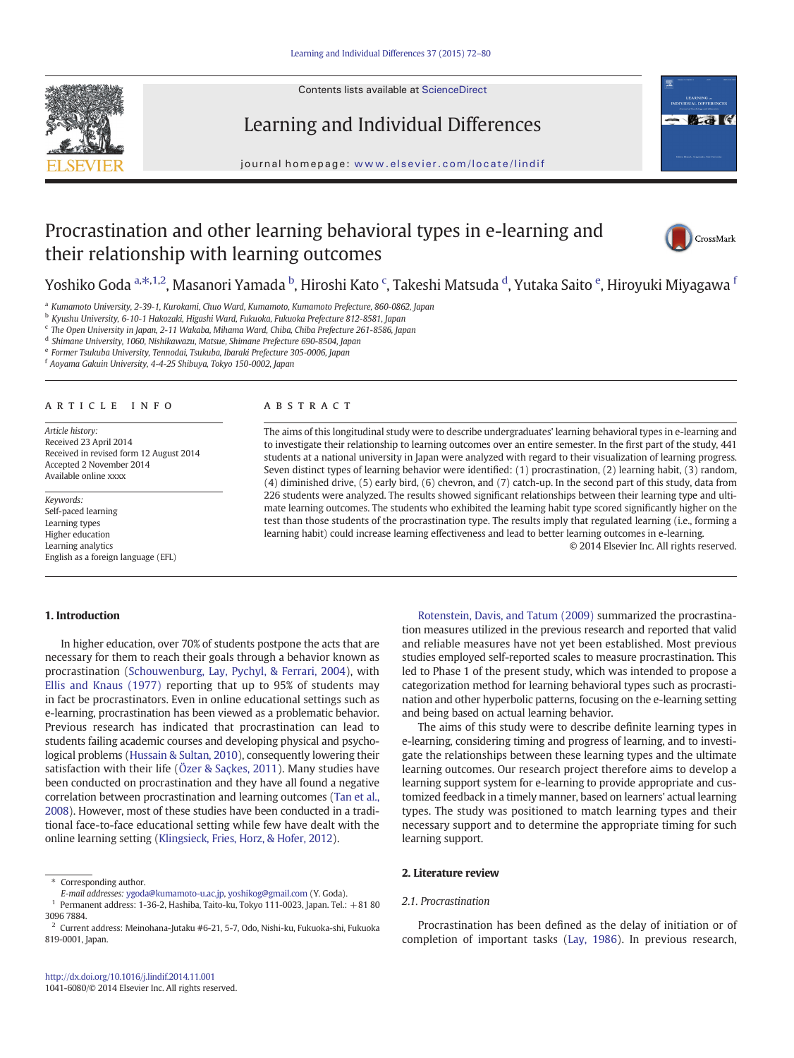Contents lists available at [ScienceDirect](http://www.sciencedirect.com/science/journal/10416080)





# Learning and Individual Differences

journal homepage: <www.elsevier.com/locate/lindif>

# Procrastination and other learning behavioral types in e-learning and their relationship with learning outcomes



Yoshiko Goda <sup>a, $\ast$ ,1,2, Masanori Yamada <sup>b</sup>, Hiroshi Kato <sup>c</sup>, Takeshi Matsuda <sup>d</sup>, Yutaka Saito <sup>e</sup>, Hiroyuki Miyagawa <sup>1</sup></sup>

<sup>a</sup> Kumamoto University, 2-39-1, Kurokami, Chuo Ward, Kumamoto, Kumamoto Prefecture, 860-0862, Japan

<sup>b</sup> Kyushu University, 6-10-1 Hakozaki, Higashi Ward, Fukuoka, Fukuoka Prefecture 812-8581, Japan

<sup>c</sup> The Open University in Japan, 2-11 Wakaba, Mihama Ward, Chiba, Chiba Prefecture 261-8586, Japan

<sup>d</sup> Shimane University, 1060, Nishikawazu, Matsue, Shimane Prefecture 690-8504, Japan

<sup>e</sup> Former Tsukuba University, Tennodai, Tsukuba, Ibaraki Prefecture 305-0006, Japan

<sup>f</sup> Aoyama Gakuin University, 4-4-25 Shibuya, Tokyo 150-0002, Japan

# article info abstract

Article history: Received 23 April 2014 Received in revised form 12 August 2014 Accepted 2 November 2014 Available online xxxx

Keywords: Self-paced learning Learning types Higher education Learning analytics English as a foreign language (EFL)

The aims of this longitudinal study were to describe undergraduates' learning behavioral types in e-learning and to investigate their relationship to learning outcomes over an entire semester. In the first part of the study, 441 students at a national university in Japan were analyzed with regard to their visualization of learning progress. Seven distinct types of learning behavior were identified: (1) procrastination, (2) learning habit, (3) random, (4) diminished drive, (5) early bird, (6) chevron, and (7) catch-up. In the second part of this study, data from 226 students were analyzed. The results showed significant relationships between their learning type and ultimate learning outcomes. The students who exhibited the learning habit type scored significantly higher on the test than those students of the procrastination type. The results imply that regulated learning (i.e., forming a learning habit) could increase learning effectiveness and lead to better learning outcomes in e-learning.

© 2014 Elsevier Inc. All rights reserved.

# 1. Introduction

In higher education, over 70% of students postpone the acts that are necessary for them to reach their goals through a behavior known as procrastination ([Schouwenburg, Lay, Pychyl, & Ferrari, 2004](#page-7-0)), with [Ellis and Knaus \(1977\)](#page-7-0) reporting that up to 95% of students may in fact be procrastinators. Even in online educational settings such as e-learning, procrastination has been viewed as a problematic behavior. Previous research has indicated that procrastination can lead to students failing academic courses and developing physical and psychological problems [\(Hussain & Sultan, 2010](#page-7-0)), consequently lowering their satisfaction with their life [\(Özer & Saçkes, 2011](#page-7-0)). Many studies have been conducted on procrastination and they have all found a negative correlation between procrastination and learning outcomes ([Tan et al.,](#page-7-0) [2008\)](#page-7-0). However, most of these studies have been conducted in a traditional face-to-face educational setting while few have dealt with the online learning setting [\(Klingsieck, Fries, Horz, & Hofer, 2012](#page-7-0)).

[Rotenstein, Davis, and Tatum \(2009\)](#page-7-0) summarized the procrastination measures utilized in the previous research and reported that valid and reliable measures have not yet been established. Most previous studies employed self-reported scales to measure procrastination. This led to Phase 1 of the present study, which was intended to propose a categorization method for learning behavioral types such as procrastination and other hyperbolic patterns, focusing on the e-learning setting and being based on actual learning behavior.

The aims of this study were to describe definite learning types in e-learning, considering timing and progress of learning, and to investigate the relationships between these learning types and the ultimate learning outcomes. Our research project therefore aims to develop a learning support system for e-learning to provide appropriate and customized feedback in a timely manner, based on learners' actual learning types. The study was positioned to match learning types and their necessary support and to determine the appropriate timing for such learning support.

# 2. Literature review

# 2.1. Procrastination

Procrastination has been defined as the delay of initiation or of completion of important tasks [\(Lay, 1986\)](#page-7-0). In previous research,

<sup>⁎</sup> Corresponding author.

E-mail addresses: [ygoda@kumamoto-u.ac.jp](mailto:ygoda@kumamoto-u.ac.jp), [yoshikog@gmail.com](mailto:yoshikog@gmail.com) (Y. Goda).

<sup>1</sup> Permanent address: 1-36-2, Hashiba, Taito-ku, Tokyo 111-0023, Japan. Tel.: +81 80 3096 7884.

<sup>2</sup> Current address: Meinohana-Jutaku #6-21, 5-7, Odo, Nishi-ku, Fukuoka-shi, Fukuoka 819-0001, Japan.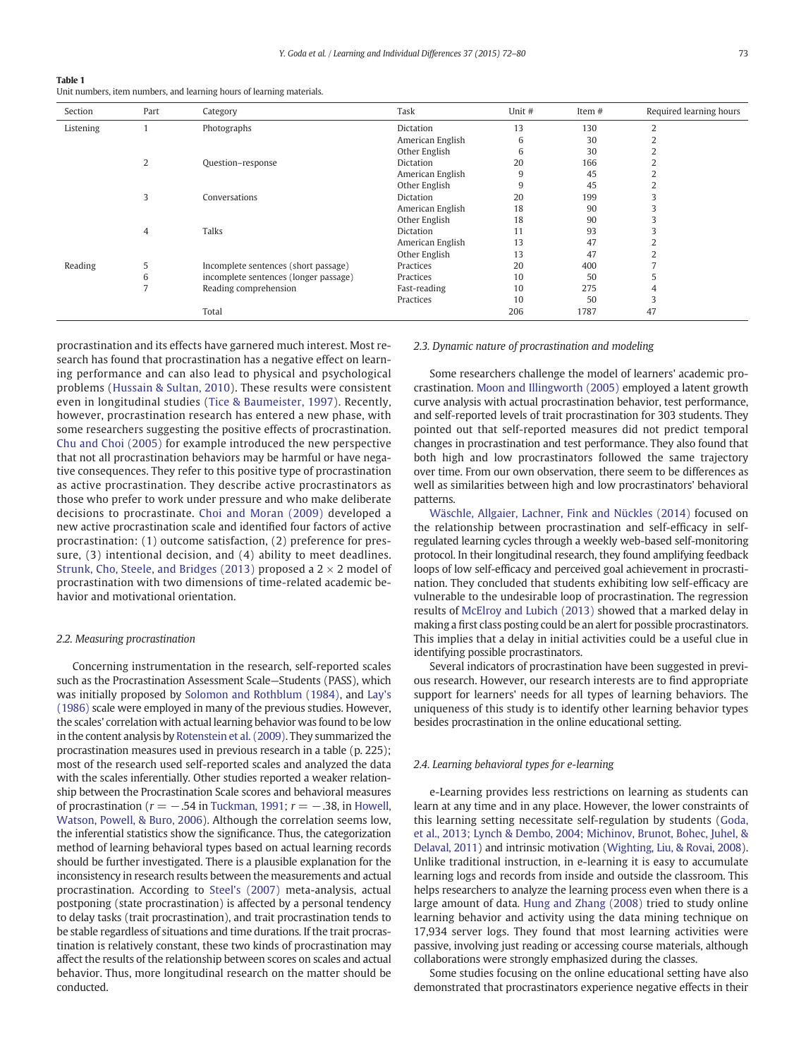<span id="page-1-0"></span>Table 1

Unit numbers, item numbers, and learning hours of learning materials.

| Section   | Part           | Category                              | Task             | Unit # | Item # | Required learning hours |
|-----------|----------------|---------------------------------------|------------------|--------|--------|-------------------------|
| Listening |                | Photographs                           | Dictation        | 13     | 130    | $\overline{2}$          |
|           |                |                                       | American English | 6      | 30     |                         |
|           |                |                                       | Other English    | 6      | 30     |                         |
|           | 2              | Question-response                     | Dictation        | 20     | 166    |                         |
|           |                |                                       | American English | 9      | 45     |                         |
|           |                |                                       | Other English    | 9      | 45     |                         |
|           | 3              | Conversations                         | Dictation        | 20     | 199    |                         |
|           |                |                                       | American English | 18     | 90     |                         |
|           |                |                                       | Other English    | 18     | 90     |                         |
|           | $\overline{4}$ | <b>Talks</b>                          | Dictation        | 11     | 93     |                         |
|           |                |                                       | American English | 13     | 47     |                         |
|           |                |                                       | Other English    | 13     | 47     |                         |
| Reading   | 5              | Incomplete sentences (short passage)  | Practices        | 20     | 400    |                         |
|           | 6              | incomplete sentences (longer passage) | Practices        | 10     | 50     |                         |
|           |                | Reading comprehension                 | Fast-reading     | 10     | 275    |                         |
|           |                |                                       | Practices        | 10     | 50     |                         |
|           |                | Total                                 |                  | 206    | 1787   | 47                      |

procrastination and its effects have garnered much interest. Most research has found that procrastination has a negative effect on learning performance and can also lead to physical and psychological problems ([Hussain & Sultan, 2010\)](#page-7-0). These results were consistent even in longitudinal studies ([Tice & Baumeister, 1997](#page-7-0)). Recently, however, procrastination research has entered a new phase, with some researchers suggesting the positive effects of procrastination. [Chu and Choi \(2005\)](#page-7-0) for example introduced the new perspective that not all procrastination behaviors may be harmful or have negative consequences. They refer to this positive type of procrastination as active procrastination. They describe active procrastinators as those who prefer to work under pressure and who make deliberate decisions to procrastinate. [Choi and Moran \(2009\)](#page-7-0) developed a new active procrastination scale and identified four factors of active procrastination: (1) outcome satisfaction, (2) preference for pressure, (3) intentional decision, and (4) ability to meet deadlines. [Strunk, Cho, Steele, and Bridges \(2013\)](#page-7-0) proposed a  $2 \times 2$  model of procrastination with two dimensions of time-related academic behavior and motivational orientation.

#### 2.2. Measuring procrastination

Concerning instrumentation in the research, self-reported scales such as the Procrastination Assessment Scale—Students (PASS), which was initially proposed by [Solomon and Rothblum \(1984\),](#page-7-0) and [Lay's](#page-7-0) [\(1986\)](#page-7-0) scale were employed in many of the previous studies. However, the scales' correlation with actual learning behavior was found to be low in the content analysis by [Rotenstein et al. \(2009\)](#page-7-0). They summarized the procrastination measures used in previous research in a table (p. 225); most of the research used self-reported scales and analyzed the data with the scales inferentially. Other studies reported a weaker relationship between the Procrastination Scale scores and behavioral measures of procrastination ( $r = -.54$  in [Tuckman, 1991](#page-7-0);  $r = -.38$ , in [Howell,](#page-7-0) [Watson, Powell, & Buro, 2006\)](#page-7-0). Although the correlation seems low, the inferential statistics show the significance. Thus, the categorization method of learning behavioral types based on actual learning records should be further investigated. There is a plausible explanation for the inconsistency in research results between the measurements and actual procrastination. According to [Steel's \(2007\)](#page-7-0) meta-analysis, actual postponing (state procrastination) is affected by a personal tendency to delay tasks (trait procrastination), and trait procrastination tends to be stable regardless of situations and time durations. If the trait procrastination is relatively constant, these two kinds of procrastination may affect the results of the relationship between scores on scales and actual behavior. Thus, more longitudinal research on the matter should be conducted.

# 2.3. Dynamic nature of procrastination and modeling

Some researchers challenge the model of learners' academic procrastination. [Moon and Illingworth \(2005\)](#page-7-0) employed a latent growth curve analysis with actual procrastination behavior, test performance, and self-reported levels of trait procrastination for 303 students. They pointed out that self-reported measures did not predict temporal changes in procrastination and test performance. They also found that both high and low procrastinators followed the same trajectory over time. From our own observation, there seem to be differences as well as similarities between high and low procrastinators' behavioral patterns.

[Wäschle, Allgaier, Lachner, Fink and Nückles \(2014\)](#page-7-0) focused on the relationship between procrastination and self-efficacy in selfregulated learning cycles through a weekly web-based self-monitoring protocol. In their longitudinal research, they found amplifying feedback loops of low self-efficacy and perceived goal achievement in procrastination. They concluded that students exhibiting low self-efficacy are vulnerable to the undesirable loop of procrastination. The regression results of [McElroy and Lubich \(2013\)](#page-7-0) showed that a marked delay in making a first class posting could be an alert for possible procrastinators. This implies that a delay in initial activities could be a useful clue in identifying possible procrastinators.

Several indicators of procrastination have been suggested in previous research. However, our research interests are to find appropriate support for learners' needs for all types of learning behaviors. The uniqueness of this study is to identify other learning behavior types besides procrastination in the online educational setting.

#### 2.4. Learning behavioral types for e-learning

e-Learning provides less restrictions on learning as students can learn at any time and in any place. However, the lower constraints of this learning setting necessitate self-regulation by students ([Goda,](#page-7-0) [et al., 2013; Lynch & Dembo, 2004; Michinov, Brunot, Bohec, Juhel, &](#page-7-0) [Delaval, 2011\)](#page-7-0) and intrinsic motivation ([Wighting, Liu, & Rovai, 2008](#page-7-0)). Unlike traditional instruction, in e-learning it is easy to accumulate learning logs and records from inside and outside the classroom. This helps researchers to analyze the learning process even when there is a large amount of data. [Hung and Zhang \(2008\)](#page-7-0) tried to study online learning behavior and activity using the data mining technique on 17,934 server logs. They found that most learning activities were passive, involving just reading or accessing course materials, although collaborations were strongly emphasized during the classes.

Some studies focusing on the online educational setting have also demonstrated that procrastinators experience negative effects in their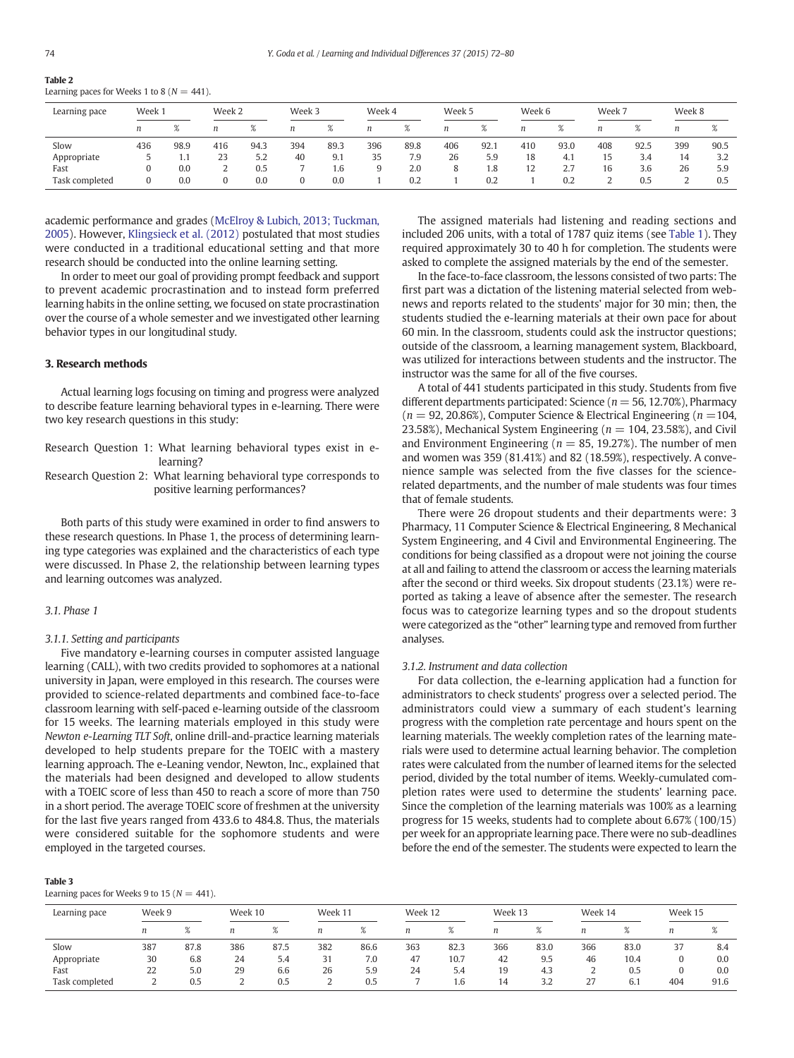<span id="page-2-0"></span>Table 2

| Learning paces for Weeks 1 to 8 ( $N = 441$ ). |  |  |
|------------------------------------------------|--|--|
|                                                |  |  |

| Learning pace  | Week 1 |      | Week 2 |      | Week 3 |      | Week 4 |      | Week 5 |      | Week 6 |      | Week 7 |                      | Week 8 |            |
|----------------|--------|------|--------|------|--------|------|--------|------|--------|------|--------|------|--------|----------------------|--------|------------|
|                | n      | %    | n      |      |        |      |        | $\%$ | n      | 70   |        | 70   |        |                      | n      | $\sqrt{2}$ |
| Slow           | 436    | 98.9 | 416    | 94.3 | 394    | 89.3 | 396    | 89.8 | 406    | 92.1 | 410    | 93.0 | 408    | 92.5                 | 399    | 90.5       |
| Appropriate    |        | 1.,  | 23     | 5.2  | 40     | 9.1  | 35     | 7.9  | 26     | 5.9  | 18     | 4.1  | ιJ     | 3.4                  | 14     | 3.2        |
| Fast           |        | 0.0  |        | 0.5  |        | 1.6  | 9      | 2.0  | 8      | 1.8  | 12     | 2.7  | 16     | $\sim$ $\sim$<br>3.6 | 26     | 5.9        |
| Task completed |        | 0.0  |        | 0.0  |        | 0.0  |        | 0.2  |        | 0.2  |        | 0.2  |        | 0.5                  |        | 0.5        |

academic performance and grades [\(McElroy & Lubich, 2013; Tuckman,](#page-7-0) [2005\)](#page-7-0). However, [Klingsieck et al. \(2012\)](#page-7-0) postulated that most studies were conducted in a traditional educational setting and that more research should be conducted into the online learning setting.

In order to meet our goal of providing prompt feedback and support to prevent academic procrastination and to instead form preferred learning habits in the online setting, we focused on state procrastination over the course of a whole semester and we investigated other learning behavior types in our longitudinal study.

#### 3. Research methods

Actual learning logs focusing on timing and progress were analyzed to describe feature learning behavioral types in e-learning. There were two key research questions in this study:

- Research Question 1: What learning behavioral types exist in elearning?
- Research Question 2: What learning behavioral type corresponds to positive learning performances?

Both parts of this study were examined in order to find answers to these research questions. In Phase 1, the process of determining learning type categories was explained and the characteristics of each type were discussed. In Phase 2, the relationship between learning types and learning outcomes was analyzed.

# 3.1. Phase 1

# 3.1.1. Setting and participants

Five mandatory e-learning courses in computer assisted language learning (CALL), with two credits provided to sophomores at a national university in Japan, were employed in this research. The courses were provided to science-related departments and combined face-to-face classroom learning with self-paced e-learning outside of the classroom for 15 weeks. The learning materials employed in this study were Newton e-Learning TLT Soft, online drill-and-practice learning materials developed to help students prepare for the TOEIC with a mastery learning approach. The e-Leaning vendor, Newton, Inc., explained that the materials had been designed and developed to allow students with a TOEIC score of less than 450 to reach a score of more than 750 in a short period. The average TOEIC score of freshmen at the university for the last five years ranged from 433.6 to 484.8. Thus, the materials were considered suitable for the sophomore students and were employed in the targeted courses.

| ٠ |
|---|
|---|

Learning paces for Weeks 9 to 15 ( $N = 441$ ).

The assigned materials had listening and reading sections and included 206 units, with a total of 1787 quiz items (see [Table 1\)](#page-1-0). They required approximately 30 to 40 h for completion. The students were asked to complete the assigned materials by the end of the semester.

In the face-to-face classroom, the lessons consisted of two parts: The first part was a dictation of the listening material selected from webnews and reports related to the students' major for 30 min; then, the students studied the e-learning materials at their own pace for about 60 min. In the classroom, students could ask the instructor questions; outside of the classroom, a learning management system, Blackboard, was utilized for interactions between students and the instructor. The instructor was the same for all of the five courses.

A total of 441 students participated in this study. Students from five different departments participated: Science ( $n = 56, 12.70\%$ ), Pharmacy  $(n = 92, 20.86\%)$ , Computer Science & Electrical Engineering  $(n = 104, \ldots)$ 23.58%), Mechanical System Engineering ( $n = 104$ , 23.58%), and Civil and Environment Engineering ( $n = 85$ , 19.27%). The number of men and women was 359 (81.41%) and 82 (18.59%), respectively. A convenience sample was selected from the five classes for the sciencerelated departments, and the number of male students was four times that of female students.

There were 26 dropout students and their departments were: 3 Pharmacy, 11 Computer Science & Electrical Engineering, 8 Mechanical System Engineering, and 4 Civil and Environmental Engineering. The conditions for being classified as a dropout were not joining the course at all and failing to attend the classroom or access the learning materials after the second or third weeks. Six dropout students (23.1%) were reported as taking a leave of absence after the semester. The research focus was to categorize learning types and so the dropout students were categorized as the "other" learning type and removed from further analyses.

# 3.1.2. Instrument and data collection

For data collection, the e-learning application had a function for administrators to check students' progress over a selected period. The administrators could view a summary of each student's learning progress with the completion rate percentage and hours spent on the learning materials. The weekly completion rates of the learning materials were used to determine actual learning behavior. The completion rates were calculated from the number of learned items for the selected period, divided by the total number of items. Weekly-cumulated completion rates were used to determine the students' learning pace. Since the completion of the learning materials was 100% as a learning progress for 15 weeks, students had to complete about 6.67% (100/15) per week for an appropriate learning pace. There were no sub-deadlines before the end of the semester. The students were expected to learn the

| Learning pace  | Week 9 |      | Week 10 |      |     | Week 11<br>Week 12 |     | Week 13 |     | Week 14 |     | Week 15 |     |      |
|----------------|--------|------|---------|------|-----|--------------------|-----|---------|-----|---------|-----|---------|-----|------|
|                |        |      | n       |      |     | /a                 |     |         | n   |         | n   |         | n   | 70   |
| Slow           | 387    | 87.8 | 386     | 87.5 | 382 | 86.6               | 363 | 82.3    | 366 | 83.0    | 366 | 83.0    | 37  | 8.4  |
| Appropriate    | 30     | 6.8  | 24      | 5.4  | 31  | 7.0                | 47  | 10.7    | 42  | 9.5     | 46  | 10.4    |     | 0.0  |
| Fast           | 22     | 5.0  | 29      | 6.6  | 26  | 5.9                | 24  | 5.4     | 19  | 4.3     |     | 0.5     |     | 0.0  |
| Task completed |        | 0.5  | ı       | 0.5  |     | 0.5                |     | 1.6     | 14  | 3.2     |     | 0.1     | 404 | 91.6 |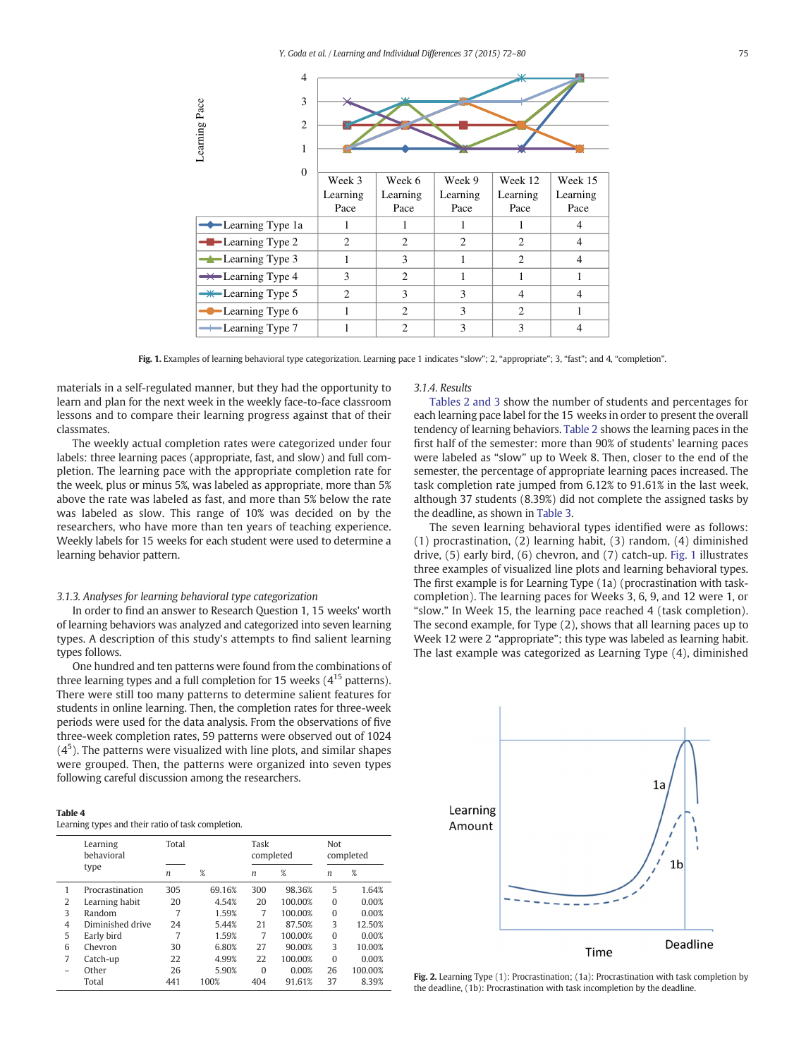<span id="page-3-0"></span>

Fig. 1. Examples of learning behavioral type categorization. Learning pace 1 indicates "slow"; 2, "appropriate"; 3, "fast"; and 4, "completion".

materials in a self-regulated manner, but they had the opportunity to learn and plan for the next week in the weekly face-to-face classroom lessons and to compare their learning progress against that of their classmates.

The weekly actual completion rates were categorized under four labels: three learning paces (appropriate, fast, and slow) and full completion. The learning pace with the appropriate completion rate for the week, plus or minus 5%, was labeled as appropriate, more than 5% above the rate was labeled as fast, and more than 5% below the rate was labeled as slow. This range of 10% was decided on by the researchers, who have more than ten years of teaching experience. Weekly labels for 15 weeks for each student were used to determine a learning behavior pattern.

#### 3.1.3. Analyses for learning behavioral type categorization

In order to find an answer to Research Question 1, 15 weeks' worth of learning behaviors was analyzed and categorized into seven learning types. A description of this study's attempts to find salient learning types follows.

One hundred and ten patterns were found from the combinations of three learning types and a full completion for 15 weeks  $(4^{15}$  patterns). There were still too many patterns to determine salient features for students in online learning. Then, the completion rates for three-week periods were used for the data analysis. From the observations of five three-week completion rates, 59 patterns were observed out of 1024  $(4<sup>5</sup>)$ . The patterns were visualized with line plots, and similar shapes were grouped. Then, the patterns were organized into seven types following careful discussion among the researchers.

| $\sim$<br>. |
|-------------|
|-------------|

|  |  | Learning types and their ratio of task completion. |
|--|--|----------------------------------------------------|
|  |  |                                                    |

|                | Learning<br>behavioral | Total |        |          | completed | Not      | completed |  |  |
|----------------|------------------------|-------|--------|----------|-----------|----------|-----------|--|--|
|                | type                   | n     | %      | n        | %         | n        | %         |  |  |
| 1              | Procrastination        | 305   | 69.16% | 300      | 98.36%    | 5        | 1.64%     |  |  |
| $\overline{2}$ | Learning habit         | 20    | 4.54%  | 20       | 100.00%   | $\Omega$ | 0.00%     |  |  |
| 3              | Random                 | 7     | 1.59%  | 7        | 100.00%   | $\Omega$ | 0.00%     |  |  |
| 4              | Diminished drive       | 24    | 5.44%  | 21       | 87.50%    | 3        | 12.50%    |  |  |
| 5              | Early bird             | 7     | 1.59%  | 7        | 100.00%   | $\Omega$ | 0.00%     |  |  |
| 6              | Chevron                | 30    | 6.80%  | 27       | 90.00%    | 3        | 10.00%    |  |  |
| 7              | Catch-up               | 22    | 4.99%  | 22       | 100.00%   | $\Omega$ | 0.00%     |  |  |
| -              | Other                  | 26    | 5.90%  | $\Omega$ | 0.00%     | 26       | 100.00%   |  |  |
|                | Total                  | 441   | 100%   | 404      | 91.61%    | 37       | 8.39%     |  |  |

#### 3.1.4. Results

[Tables 2 and 3](#page-2-0) show the number of students and percentages for each learning pace label for the 15 weeks in order to present the overall tendency of learning behaviors. [Table 2](#page-2-0) shows the learning paces in the first half of the semester: more than 90% of students' learning paces were labeled as "slow" up to Week 8. Then, closer to the end of the semester, the percentage of appropriate learning paces increased. The task completion rate jumped from 6.12% to 91.61% in the last week, although 37 students (8.39%) did not complete the assigned tasks by the deadline, as shown in [Table 3.](#page-2-0)

The seven learning behavioral types identified were as follows: (1) procrastination, (2) learning habit, (3) random, (4) diminished drive, (5) early bird, (6) chevron, and (7) catch-up. Fig. 1 illustrates three examples of visualized line plots and learning behavioral types. The first example is for Learning Type (1a) (procrastination with taskcompletion). The learning paces for Weeks 3, 6, 9, and 12 were 1, or "slow." In Week 15, the learning pace reached 4 (task completion). The second example, for Type (2), shows that all learning paces up to Week 12 were 2 "appropriate"; this type was labeled as learning habit. The last example was categorized as Learning Type (4), diminished



Fig. 2. Learning Type (1): Procrastination; (1a): Procrastination with task completion by the deadline, (1b): Procrastination with task incompletion by the deadline.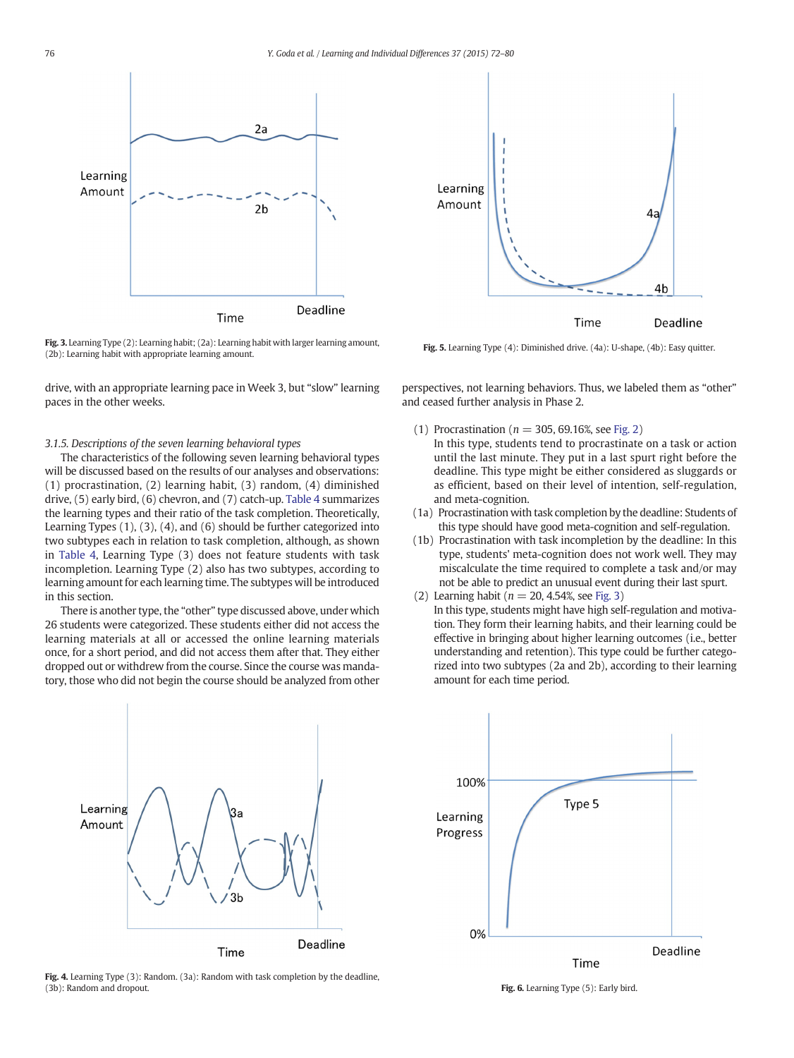<span id="page-4-0"></span>

Fig. 3. Learning Type (2): Learning habit; (2a): Learning habit with larger learning amount, (2b): Learning habit with appropriate learning amount.

drive, with an appropriate learning pace in Week 3, but "slow" learning paces in the other weeks.

### 3.1.5. Descriptions of the seven learning behavioral types

The characteristics of the following seven learning behavioral types will be discussed based on the results of our analyses and observations: (1) procrastination, (2) learning habit, (3) random, (4) diminished drive, (5) early bird, (6) chevron, and (7) catch-up. [Table 4](#page-3-0) summarizes the learning types and their ratio of the task completion. Theoretically, Learning Types (1), (3), (4), and (6) should be further categorized into two subtypes each in relation to task completion, although, as shown in [Table 4,](#page-3-0) Learning Type (3) does not feature students with task incompletion. Learning Type (2) also has two subtypes, according to learning amount for each learning time. The subtypes will be introduced in this section.

There is another type, the "other" type discussed above, under which 26 students were categorized. These students either did not access the learning materials at all or accessed the online learning materials once, for a short period, and did not access them after that. They either dropped out or withdrew from the course. Since the course was mandatory, those who did not begin the course should be analyzed from other



Fig. 4. Learning Type (3): Random. (3a): Random with task completion by the deadline, (3b): Random and dropout.



Fig. 5. Learning Type (4): Diminished drive. (4a): U-shape, (4b): Easy quitter.

perspectives, not learning behaviors. Thus, we labeled them as "other" and ceased further analysis in Phase 2.

- (1) Procrastination ( $n = 305, 69.16$ %, see [Fig. 2](#page-3-0)) In this type, students tend to procrastinate on a task or action until the last minute. They put in a last spurt right before the deadline. This type might be either considered as sluggards or as efficient, based on their level of intention, self-regulation, and meta-cognition.
- (1a) Procrastination with task completion by the deadline: Students of this type should have good meta-cognition and self-regulation.
- (1b) Procrastination with task incompletion by the deadline: In this type, students' meta-cognition does not work well. They may miscalculate the time required to complete a task and/or may not be able to predict an unusual event during their last spurt.
- (2) Learning habit ( $n = 20, 4.54$ %, see Fig. 3)
	- In this type, students might have high self-regulation and motivation. They form their learning habits, and their learning could be effective in bringing about higher learning outcomes (i.e., better understanding and retention). This type could be further categorized into two subtypes (2a and 2b), according to their learning amount for each time period.



Fig. 6. Learning Type (5): Early bird.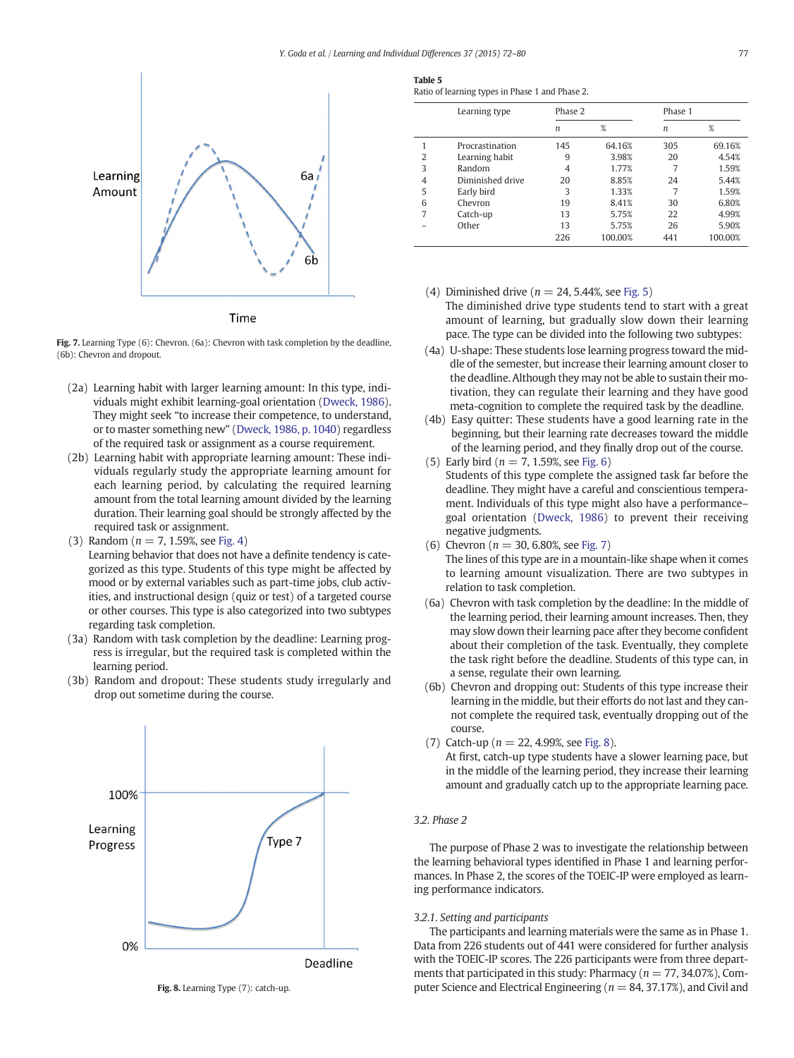<span id="page-5-0"></span>

Fig. 7. Learning Type (6): Chevron. (6a): Chevron with task completion by the deadline, (6b): Chevron and dropout.

- (2a) Learning habit with larger learning amount: In this type, individuals might exhibit learning-goal orientation [\(Dweck, 1986](#page-7-0)). They might seek "to increase their competence, to understand, or to master something new" ([Dweck, 1986, p. 1040](#page-7-0)) regardless of the required task or assignment as a course requirement.
- (2b) Learning habit with appropriate learning amount: These individuals regularly study the appropriate learning amount for each learning period, by calculating the required learning amount from the total learning amount divided by the learning duration. Their learning goal should be strongly affected by the required task or assignment.
- (3) Random ( $n = 7, 1.59$ %, see [Fig. 4\)](#page-4-0) Learning behavior that does not have a definite tendency is categorized as this type. Students of this type might be affected by mood or by external variables such as part-time jobs, club activities, and instructional design (quiz or test) of a targeted course or other courses. This type is also categorized into two subtypes regarding task completion.
- (3a) Random with task completion by the deadline: Learning progress is irregular, but the required task is completed within the learning period.
- (3b) Random and dropout: These students study irregularly and drop out sometime during the course.



Fig. 8. Learning Type (7): catch-up.

| Table 5                                             |  |  |  |
|-----------------------------------------------------|--|--|--|
| <b>Patio of loarning types in Phase 1 and Phase</b> |  |  |  |

|  |  |  | Ratio of learning types in Phase 1 and Phase 2. |  |  |  |  |  |  |  |  |
|--|--|--|-------------------------------------------------|--|--|--|--|--|--|--|--|
|--|--|--|-------------------------------------------------|--|--|--|--|--|--|--|--|

|   | Learning type    | Phase 2 |         | Phase 1 |         |  |
|---|------------------|---------|---------|---------|---------|--|
|   |                  | n       | %       | n       | %       |  |
|   | Procrastination  | 145     | 64.16%  | 305     | 69.16%  |  |
| 2 | Learning habit   | 9       | 3.98%   | 20      | 4.54%   |  |
| 3 | Random           | 4       | 1.77%   | 7       | 1.59%   |  |
| 4 | Diminished drive | 20      | 8.85%   | 24      | 5.44%   |  |
| 5 | Early bird       | 3       | 1.33%   | 7       | 1.59%   |  |
| 6 | Chevron          | 19      | 8.41%   | 30      | 6.80%   |  |
| 7 | Catch-up         | 13      | 5.75%   | 22      | 4.99%   |  |
|   | Other            | 13      | 5.75%   | 26      | 5.90%   |  |
|   |                  | 226     | 100.00% | 441     | 100.00% |  |

- (4) Diminished drive ( $n = 24, 5.44\%$ , see [Fig. 5\)](#page-4-0) The diminished drive type students tend to start with a great amount of learning, but gradually slow down their learning pace. The type can be divided into the following two subtypes:
- (4a) U-shape: These students lose learning progress toward the middle of the semester, but increase their learning amount closer to the deadline. Although they may not be able to sustain their motivation, they can regulate their learning and they have good meta-cognition to complete the required task by the deadline.
- (4b) Easy quitter: These students have a good learning rate in the beginning, but their learning rate decreases toward the middle of the learning period, and they finally drop out of the course. (5) Early bird ( $n = 7, 1.59$ %, see [Fig. 6](#page-4-0))
- Students of this type complete the assigned task far before the deadline. They might have a careful and conscientious temperament. Individuals of this type might also have a performance– goal orientation [\(Dweck, 1986\)](#page-7-0) to prevent their receiving negative judgments.
- (6) Chevron ( $n = 30, 6.80\%$ , see Fig. 7) The lines of this type are in a mountain-like shape when it comes to learning amount visualization. There are two subtypes in relation to task completion.
- (6a) Chevron with task completion by the deadline: In the middle of the learning period, their learning amount increases. Then, they may slow down their learning pace after they become confident about their completion of the task. Eventually, they complete the task right before the deadline. Students of this type can, in a sense, regulate their own learning.
- (6b) Chevron and dropping out: Students of this type increase their learning in the middle, but their efforts do not last and they cannot complete the required task, eventually dropping out of the course.
- (7) Catch-up ( $n = 22, 4.99$ %, see Fig. 8).

At first, catch-up type students have a slower learning pace, but in the middle of the learning period, they increase their learning amount and gradually catch up to the appropriate learning pace.

# 3.2. Phase 2

The purpose of Phase 2 was to investigate the relationship between the learning behavioral types identified in Phase 1 and learning performances. In Phase 2, the scores of the TOEIC-IP were employed as learning performance indicators.

# 3.2.1. Setting and participants

The participants and learning materials were the same as in Phase 1. Data from 226 students out of 441 were considered for further analysis with the TOEIC-IP scores. The 226 participants were from three departments that participated in this study: Pharmacy ( $n = 77, 34.07\%$ ), Computer Science and Electrical Engineering ( $n = 84, 37.17\%$ ), and Civil and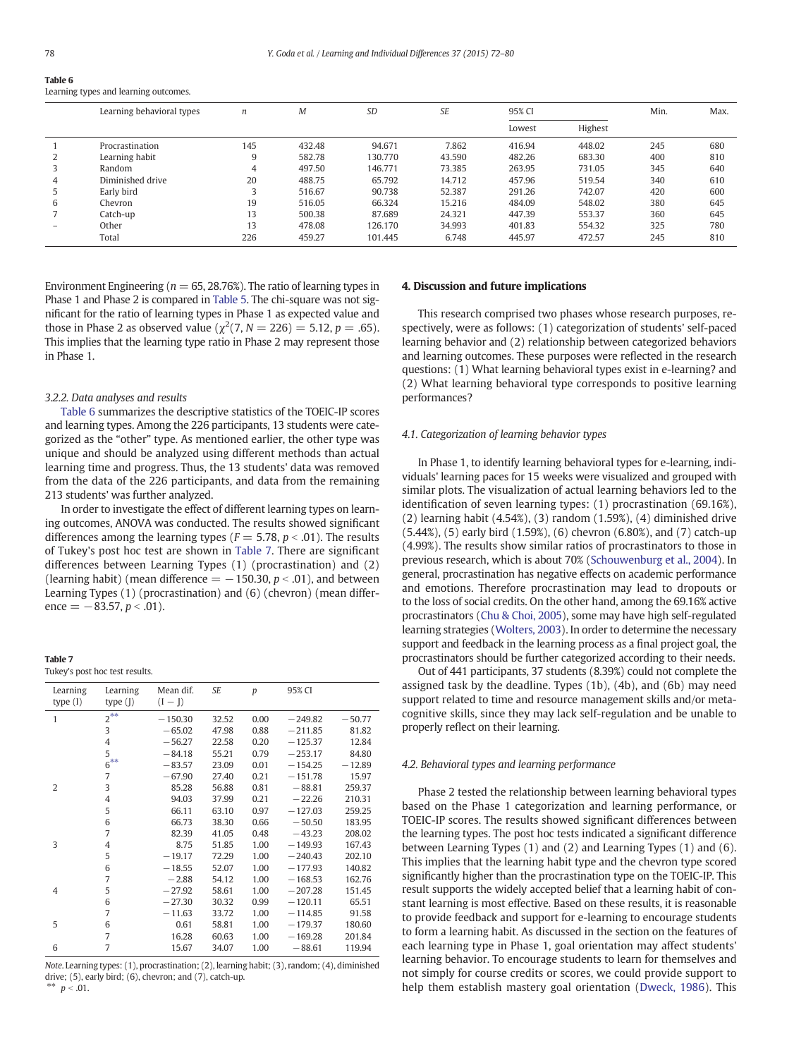Table 6

| --------                              |
|---------------------------------------|
| Learning types and learning outcomes. |

|   | Learning behavioral types | $\boldsymbol{n}$ | M      | <b>SD</b> | <b>SE</b> | 95% CI |         | Min. | Max. |
|---|---------------------------|------------------|--------|-----------|-----------|--------|---------|------|------|
|   |                           |                  |        |           |           | Lowest | Highest |      |      |
|   | Procrastination           | 145              | 432.48 | 94.671    | 7.862     | 416.94 | 448.02  | 245  | 680  |
|   | Learning habit            | 9                | 582.78 | 130.770   | 43.590    | 482.26 | 683.30  | 400  | 810  |
|   | Random                    | 4                | 497.50 | 146.771   | 73.385    | 263.95 | 731.05  | 345  | 640  |
| 4 | Diminished drive          | 20               | 488.75 | 65.792    | 14.712    | 457.96 | 519.54  | 340  | 610  |
|   | Early bird                | 3                | 516.67 | 90.738    | 52.387    | 291.26 | 742.07  | 420  | 600  |
| 6 | Chevron                   | 19               | 516.05 | 66.324    | 15.216    | 484.09 | 548.02  | 380  | 645  |
|   | Catch-up                  | 13               | 500.38 | 87.689    | 24.321    | 447.39 | 553.37  | 360  | 645  |
|   | Other                     | 13               | 478.08 | 126.170   | 34.993    | 401.83 | 554.32  | 325  | 780  |
|   | Total                     | 226              | 459.27 | 101.445   | 6.748     | 445.97 | 472.57  | 245  | 810  |

Environment Engineering ( $n = 65, 28.76\%$ ). The ratio of learning types in Phase 1 and Phase 2 is compared in [Table 5.](#page-5-0) The chi-square was not significant for the ratio of learning types in Phase 1 as expected value and those in Phase 2 as observed value ( $\chi^2(7, N = 226) = 5.12, p = .65$ ). This implies that the learning type ratio in Phase 2 may represent those in Phase 1.

# 3.2.2. Data analyses and results

Table 6 summarizes the descriptive statistics of the TOEIC-IP scores and learning types. Among the 226 participants, 13 students were categorized as the "other" type. As mentioned earlier, the other type was unique and should be analyzed using different methods than actual learning time and progress. Thus, the 13 students' data was removed from the data of the 226 participants, and data from the remaining 213 students' was further analyzed.

In order to investigate the effect of different learning types on learning outcomes, ANOVA was conducted. The results showed significant differences among the learning types ( $F = 5.78$ ,  $p < .01$ ). The results of Tukey's post hoc test are shown in Table 7. There are significant differences between Learning Types (1) (procrastination) and (2) (learning habit) (mean difference  $=$   $-150.30, p < .01$ ), and between Learning Types (1) (procrastination) and (6) (chevron) (mean difference =  $-83.57, p < .01$ ).

| Table 7                        |  |  |
|--------------------------------|--|--|
| Tukey's post hoc test results. |  |  |

| Learning<br>type $(I)$ | Learning<br>type $(I)$ | Mean dif.<br>$(I - J)$ | SE    | $\boldsymbol{p}$ | 95% CI    |          |
|------------------------|------------------------|------------------------|-------|------------------|-----------|----------|
|                        |                        |                        |       |                  |           |          |
| $\mathbf{1}$           | $2^{**}$               | $-150.30$              | 32.52 | 0.00             | $-249.82$ | $-50.77$ |
|                        | 3                      | $-65.02$               | 47.98 | 0.88             | $-211.85$ | 81.82    |
|                        | $\overline{4}$         | $-56.27$               | 22.58 | 0.20             | $-125.37$ | 12.84    |
|                        | 5                      | $-84.18$               | 55.21 | 0.79             | $-253.17$ | 84.80    |
|                        | $6***$                 | $-83.57$               | 23.09 | 0.01             | $-154.25$ | $-12.89$ |
|                        | 7                      | $-67.90$               | 27.40 | 0.21             | $-151.78$ | 15.97    |
| $\overline{2}$         | 3                      | 85.28                  | 56.88 | 0.81             | $-88.81$  | 259.37   |
|                        | $\overline{4}$         | 94.03                  | 37.99 | 0.21             | $-22.26$  | 210.31   |
|                        | 5                      | 66.11                  | 63.10 | 0.97             | $-127.03$ | 259.25   |
|                        | 6                      | 66.73                  | 38.30 | 0.66             | $-50.50$  | 183.95   |
|                        | 7                      | 82.39                  | 41.05 | 0.48             | $-43.23$  | 208.02   |
| 3                      | $\overline{4}$         | 8.75                   | 51.85 | 1.00             | $-149.93$ | 167.43   |
|                        | 5                      | $-19.17$               | 72.29 | 1.00             | $-240.43$ | 202.10   |
|                        | 6                      | $-18.55$               | 52.07 | 1.00             | $-177.93$ | 140.82   |
|                        | 7                      | $-2.88$                | 54.12 | 1.00             | $-168.53$ | 162.76   |
| $\overline{4}$         | 5                      | $-27.92$               | 58.61 | 1.00             | $-207.28$ | 151.45   |
|                        | 6                      | $-27.30$               | 30.32 | 0.99             | $-120.11$ | 65.51    |
|                        | 7                      | $-11.63$               | 33.72 | 1.00             | $-114.85$ | 91.58    |
| 5                      | 6                      | 0.61                   | 58.81 | 1.00             | $-179.37$ | 180.60   |
|                        | 7                      | 16.28                  | 60.63 | 1.00             | $-169.28$ | 201.84   |
| 6                      | $\overline{7}$         | 15.67                  | 34.07 | 1.00             | $-88.61$  | 119.94   |
|                        |                        |                        |       |                  |           |          |

Note. Learning types: (1), procrastination; (2), learning habit; (3), random; (4), diminished drive; (5), early bird; (6), chevron; and (7), catch-up. \*\*  $p < .01$ .

# 4. Discussion and future implications

This research comprised two phases whose research purposes, respectively, were as follows: (1) categorization of students' self-paced learning behavior and (2) relationship between categorized behaviors and learning outcomes. These purposes were reflected in the research questions: (1) What learning behavioral types exist in e-learning? and (2) What learning behavioral type corresponds to positive learning performances?

#### 4.1. Categorization of learning behavior types

In Phase 1, to identify learning behavioral types for e-learning, individuals' learning paces for 15 weeks were visualized and grouped with similar plots. The visualization of actual learning behaviors led to the identification of seven learning types: (1) procrastination (69.16%), (2) learning habit (4.54%), (3) random (1.59%), (4) diminished drive (5.44%), (5) early bird (1.59%), (6) chevron (6.80%), and (7) catch-up (4.99%). The results show similar ratios of procrastinators to those in previous research, which is about 70% [\(Schouwenburg et al., 2004](#page-7-0)). In general, procrastination has negative effects on academic performance and emotions. Therefore procrastination may lead to dropouts or to the loss of social credits. On the other hand, among the 69.16% active procrastinators ([Chu & Choi, 2005\)](#page-7-0), some may have high self-regulated learning strategies ([Wolters, 2003](#page-7-0)). In order to determine the necessary support and feedback in the learning process as a final project goal, the procrastinators should be further categorized according to their needs.

Out of 441 participants, 37 students (8.39%) could not complete the assigned task by the deadline. Types (1b), (4b), and (6b) may need support related to time and resource management skills and/or metacognitive skills, since they may lack self-regulation and be unable to properly reflect on their learning.

#### 4.2. Behavioral types and learning performance

Phase 2 tested the relationship between learning behavioral types based on the Phase 1 categorization and learning performance, or TOEIC-IP scores. The results showed significant differences between the learning types. The post hoc tests indicated a significant difference between Learning Types (1) and (2) and Learning Types (1) and (6). This implies that the learning habit type and the chevron type scored significantly higher than the procrastination type on the TOEIC-IP. This result supports the widely accepted belief that a learning habit of constant learning is most effective. Based on these results, it is reasonable to provide feedback and support for e-learning to encourage students to form a learning habit. As discussed in the section on the features of each learning type in Phase 1, goal orientation may affect students' learning behavior. To encourage students to learn for themselves and not simply for course credits or scores, we could provide support to help them establish mastery goal orientation ([Dweck, 1986\)](#page-7-0). This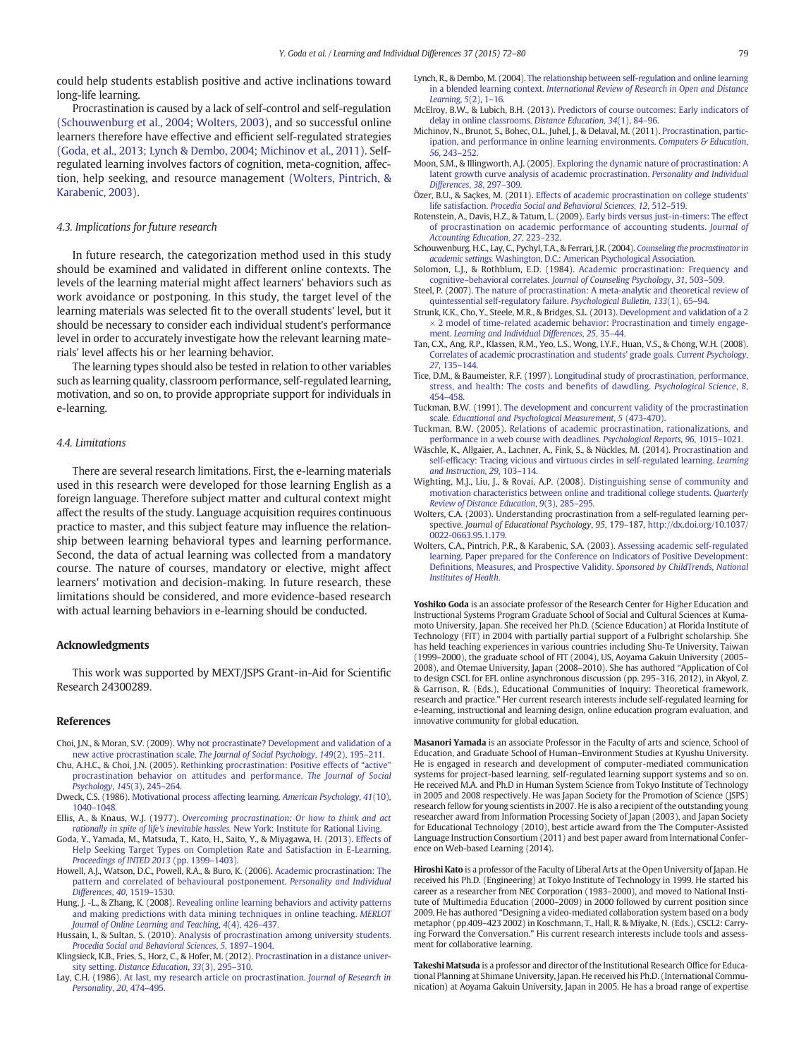<span id="page-7-0"></span>could help students establish positive and active inclinations toward long-life learning.

Procrastination is caused by a lack of self-control and self-regulation (Schouwenburg et al., 2004; Wolters, 2003), and so successful online learners therefore have effective and efficient self-regulated strategies (Goda, et al., 2013; Lynch & Dembo, 2004; Michinov et al., 2011). Selfregulated learning involves factors of cognition, meta-cognition, affection, help seeking, and resource management (Wolters, Pintrich, & Karabenic, 2003).

## 4.3. Implications for future research

In future research, the categorization method used in this study should be examined and validated in different online contexts. The levels of the learning material might affect learners' behaviors such as work avoidance or postponing. In this study, the target level of the learning materials was selected fit to the overall students' level, but it should be necessary to consider each individual student's performance level in order to accurately investigate how the relevant learning materials' level affects his or her learning behavior.

The learning types should also be tested in relation to other variables such as learning quality, classroom performance, self-regulated learning, motivation, and so on, to provide appropriate support for individuals in e-learning.

### 4.4. Limitations

There are several research limitations. First, the e-learning materials used in this research were developed for those learning English as a foreign language. Therefore subject matter and cultural context might affect the results of the study. Language acquisition requires continuous practice to master, and this subject feature may influence the relationship between learning behavioral types and learning performance. Second, the data of actual learning was collected from a mandatory course. The nature of courses, mandatory or elective, might affect learners' motivation and decision-making. In future research, these limitations should be considered, and more evidence-based research with actual learning behaviors in e-learning should be conducted.

#### Acknowledgments

This work was supported by MEXT/JSPS Grant-in-Aid for Scientific Research 24300289.

#### References

- Choi, J.N., & Moran, S.V. (2009). [Why not procrastinate? Development and validation of a](http://refhub.elsevier.com/S1041-6080(14)00199-X/rf0005) [new active procrastination scale.](http://refhub.elsevier.com/S1041-6080(14)00199-X/rf0005) The Journal of Social Psychology, 149(2), 195–211.
- Chu, A.H.C., & Choi, J.N. (2005). [Rethinking procrastination: Positive effects of](http://refhub.elsevier.com/S1041-6080(14)00199-X/rf0010) "active" [procrastination behavior on attitudes and performance.](http://refhub.elsevier.com/S1041-6080(14)00199-X/rf0010) The Journal of Social [Psychology](http://refhub.elsevier.com/S1041-6080(14)00199-X/rf0010), 145(3), 245–264.
- Dweck, C.S. (1986). [Motivational process affecting learning.](http://refhub.elsevier.com/S1041-6080(14)00199-X/rf0015) American Psychology, 41(10), 1040–[1048.](http://refhub.elsevier.com/S1041-6080(14)00199-X/rf0015)
- Ellis, A., & Knaus, W.J. (1977). [Overcoming procrastination: Or how to think and act](http://refhub.elsevier.com/S1041-6080(14)00199-X/rf0020) [rationally in spite of life's inevitable hassles.](http://refhub.elsevier.com/S1041-6080(14)00199-X/rf0020) New York: Institute for Rational Living.
- Goda, Y., Yamada, M., Matsuda, T., Kato, H., Saito, Y., & Miyagawa, H. (2013). [Effects of](http://refhub.elsevier.com/S1041-6080(14)00199-X/rf2000) [Help Seeking Target Types on Completion Rate and Satisfaction in E-Learning.](http://refhub.elsevier.com/S1041-6080(14)00199-X/rf2000) [Proceedings of INTED 2013](http://refhub.elsevier.com/S1041-6080(14)00199-X/rf2000) (pp. 1399–1403).
- Howell, A.J., Watson, D.C., Powell, R.A., & Buro, K. (2006). [Academic procrastination: The](http://refhub.elsevier.com/S1041-6080(14)00199-X/rf0025) [pattern and correlated of behavioural postponement.](http://refhub.elsevier.com/S1041-6080(14)00199-X/rf0025) Personality and Individual [Differences](http://refhub.elsevier.com/S1041-6080(14)00199-X/rf0025), 40, 1519–1530.
- Hung, J. -L., & Zhang, K. (2008). [Revealing online learning behaviors and activity patterns](http://refhub.elsevier.com/S1041-6080(14)00199-X/rf0030) [and making predictions with data mining techniques in online teaching.](http://refhub.elsevier.com/S1041-6080(14)00199-X/rf0030) MERLOT [Journal of Online Learning and Teaching](http://refhub.elsevier.com/S1041-6080(14)00199-X/rf0030), 4(4), 426-437.
- Hussain, I., & Sultan, S. (2010). [Analysis of procrastination among university students.](http://refhub.elsevier.com/S1041-6080(14)00199-X/rf0035) [Procedia Social and Behavioral Sciences](http://refhub.elsevier.com/S1041-6080(14)00199-X/rf0035), 5, 1897–1904.
- Klingsieck, K.B., Fries, S., Horz, C., & Hofer, M. (2012). [Procrastination in a distance univer](http://refhub.elsevier.com/S1041-6080(14)00199-X/rf0040)sity setting. [Distance Education](http://refhub.elsevier.com/S1041-6080(14)00199-X/rf0040), 33(3), 295–310.
- Lay, C.H. (1986). [At last, my research article on procrastination.](http://refhub.elsevier.com/S1041-6080(14)00199-X/rf0045) Journal of Research in [Personality](http://refhub.elsevier.com/S1041-6080(14)00199-X/rf0045), 20, 474–495.
- Lynch, R., & Dembo, M. (2004). [The relationship between self-regulation and online learning](http://refhub.elsevier.com/S1041-6080(14)00199-X/rf0050) in a blended learning context. [International Review of Research in Open and Distance](http://refhub.elsevier.com/S1041-6080(14)00199-X/rf0050) [Learning](http://refhub.elsevier.com/S1041-6080(14)00199-X/rf0050), 5(2), 1–16.
- McElroy, B.W., & Lubich, B.H. (2013). [Predictors of course outcomes: Early indicators of](http://refhub.elsevier.com/S1041-6080(14)00199-X/rf0055) [delay in online classrooms.](http://refhub.elsevier.com/S1041-6080(14)00199-X/rf0055) Distance Education, 34(1), 84–96.
- Michinov, N., Brunot, S., Bohec, O.L., Juhel, J., & Delaval, M. (2011). [Procrastination, partic](http://refhub.elsevier.com/S1041-6080(14)00199-X/rf0060)[ipation, and performance in online learning environments.](http://refhub.elsevier.com/S1041-6080(14)00199-X/rf0060) Computers  $\mathcal G$  Education, 56[, 243](http://refhub.elsevier.com/S1041-6080(14)00199-X/rf0060)–252.
- Moon, S.M., & Illingworth, A.J. (2005). [Exploring the dynamic nature of procrastination: A](http://refhub.elsevier.com/S1041-6080(14)00199-X/rf0065) [latent growth curve analysis of academic procrastination.](http://refhub.elsevier.com/S1041-6080(14)00199-X/rf0065) Personality and Individual [Differences](http://refhub.elsevier.com/S1041-6080(14)00199-X/rf0065), 38, 297–309.
- Özer, B.U., & Saçkes, M. (2011). [Effects of academic procrastination on college students'](http://refhub.elsevier.com/S1041-6080(14)00199-X/rf0070) life satisfaction. [Procedia Social and Behavioral Sciences](http://refhub.elsevier.com/S1041-6080(14)00199-X/rf0070), 12, 512–519.
- Rotenstein, A., Davis, H.Z., & Tatum, L. (2009). [Early birds versus just-in-timers: The effect](http://refhub.elsevier.com/S1041-6080(14)00199-X/rf0075) [of procrastination on academic performance of accounting students.](http://refhub.elsevier.com/S1041-6080(14)00199-X/rf0075) Journal of [Accounting Education](http://refhub.elsevier.com/S1041-6080(14)00199-X/rf0075), 27, 223–232.
- Schouwenburg, H.C., Lay, C., Pychyl, T.A., & Ferrari, J.R. (2004). [Counseling the procrastinator in](http://refhub.elsevier.com/S1041-6080(14)00199-X/rf0080) academic settings. [Washington, D.C.: American Psychological Association.](http://refhub.elsevier.com/S1041-6080(14)00199-X/rf0080)
- Solomon, L.J., & Rothblum, E.D. (1984). [Academic procrastination: Frequency and](http://refhub.elsevier.com/S1041-6080(14)00199-X/rf0085) cognitive–behavioral correlates. [Journal of Counseling Psychology](http://refhub.elsevier.com/S1041-6080(14)00199-X/rf0085), 31, 503–509.
- Steel, P. (2007). [The nature of procrastination: A meta-analytic and theoretical review of](http://refhub.elsevier.com/S1041-6080(14)00199-X/rf0090) [quintessential self-regulatory failure.](http://refhub.elsevier.com/S1041-6080(14)00199-X/rf0090) Psychological Bulletin, 133(1), 65–94.
- Strunk, K.K., Cho, Y., Steele, M.R., & Bridges, S.L. (2013). [Development and validation of a 2](http://refhub.elsevier.com/S1041-6080(14)00199-X/rf0095)  $\times$  2 model of time-related academic behavior: Procrastination and timely engagement. [Learning and Individual Differences](http://refhub.elsevier.com/S1041-6080(14)00199-X/rf0095), 25, 35–44.
- Tan, C.X., Ang, R.P., Klassen, R.M., Yeo, L.S., Wong, I.Y.F., Huan, V.S., & Chong, W.H. (2008). [Correlates of academic procrastination and students' grade goals.](http://refhub.elsevier.com/S1041-6080(14)00199-X/rf0135) Current Psychology, 27[, 135](http://refhub.elsevier.com/S1041-6080(14)00199-X/rf0135)–144.
- Tice, D.M., & Baumeister, R.F. (1997). [Longitudinal study of procrastination, performance,](http://refhub.elsevier.com/S1041-6080(14)00199-X/rf0105) [stress, and health: The costs and bene](http://refhub.elsevier.com/S1041-6080(14)00199-X/rf0105)fits of dawdling. Psychological Science, 8, 454–[458.](http://refhub.elsevier.com/S1041-6080(14)00199-X/rf0105)
- Tuckman, B.W. (1991). [The development and concurrent validity of the procrastination](http://refhub.elsevier.com/S1041-6080(14)00199-X/rf0110) scale. [Educational and Psychological Measurement](http://refhub.elsevier.com/S1041-6080(14)00199-X/rf0110), 5 (473-470).
- Tuckman, B.W. (2005). [Relations of academic procrastination, rationalizations, and](http://refhub.elsevier.com/S1041-6080(14)00199-X/rf0115) [performance in a web course with deadlines.](http://refhub.elsevier.com/S1041-6080(14)00199-X/rf0115) Psychological Reports, 96, 1015–1021.
- Wäschle, K., Allgaier, A., Lachner, A., Fink, S., & Nückles, M. (2014). [Procrastination and](http://refhub.elsevier.com/S1041-6080(14)00199-X/rf0120) self-effi[cacy: Tracing vicious and virtuous circles in self-regulated learning.](http://refhub.elsevier.com/S1041-6080(14)00199-X/rf0120) Learning [and Instruction](http://refhub.elsevier.com/S1041-6080(14)00199-X/rf0120), 29, 103–114.
- Wighting, M.J., Liu, J., & Rovai, A.P. (2008). [Distinguishing sense of community and](http://refhub.elsevier.com/S1041-6080(14)00199-X/rf0125) [motivation characteristics between online and traditional college students.](http://refhub.elsevier.com/S1041-6080(14)00199-X/rf0125) Quarterly [Review of Distance Education](http://refhub.elsevier.com/S1041-6080(14)00199-X/rf0125), 9(3), 285–295.
- Wolters, C.A. (2003). Understanding procrastination from a self-regulated learning perspective. Journal of Educational Psychology, 95, 179–187, http://dx.doi.org[/10.1037/](http://dx.doi.org/10.1037/0022-0663.95.1.179) [0022-0663.95.1.179.](http://dx.doi.org/10.1037/0022-0663.95.1.179)
- Wolters, C.A., Pintrich, P.R., & Karabenic, S.A. (2003). [Assessing academic self-regulated](http://refhub.elsevier.com/S1041-6080(14)00199-X/rf0140) [learning. Paper prepared for the Conference on Indicators of Positive Development:](http://refhub.elsevier.com/S1041-6080(14)00199-X/rf0140) Defi[nitions, Measures, and Prospective Validity.](http://refhub.elsevier.com/S1041-6080(14)00199-X/rf0140) Sponsored by ChildTrends, National [Institutes of Health](http://refhub.elsevier.com/S1041-6080(14)00199-X/rf0140).

Yoshiko Goda is an associate professor of the Research Center for Higher Education and Instructional Systems Program Graduate School of Social and Cultural Sciences at Kumamoto University, Japan. She received her Ph.D. (Science Education) at Florida Institute of Technology (FIT) in 2004 with partially partial support of a Fulbright scholarship. She has held teaching experiences in various countries including Shu-Te University, Taiwan (1999–2000), the graduate school of FIT (2004), US, Aoyama Gakuin University (2005– 2008), and Otemae University, Japan (2008–2010). She has authored "Application of CoI to design CSCL for EFL online asynchronous discussion (pp. 295–316, 2012), in Akyol, Z. & Garrison, R. (Eds.), Educational Communities of Inquiry: Theoretical framework, research and practice." Her current research interests include self-regulated learning for e-learning, instructional and learning design, online education program evaluation, and innovative community for global education.

Masanori Yamada is an associate Professor in the Faculty of arts and science, School of Education, and Graduate School of Human–Environment Studies at Kyushu University. He is engaged in research and development of computer-mediated communication systems for project-based learning, self-regulated learning support systems and so on. He received M.A. and Ph.D in Human System Science from Tokyo Institute of Technology in 2005 and 2008 respectively. He was Japan Society for the Promotion of Science (JSPS) research fellow for young scientists in 2007. He is also a recipient of the outstanding young researcher award from Information Processing Society of Japan (2003), and Japan Society for Educational Technology (2010), best article award from the The Computer-Assisted Language Instruction Consortium (2011) and best paper award from International Conference on Web-based Learning (2014).

Hiroshi Kato is a professor of the Faculty of Liberal Arts at the Open University of Japan. He received his Ph.D. (Engineering) at Tokyo Institute of Technology in 1999. He started his career as a researcher from NEC Corporation (1983–2000), and moved to National Institute of Multimedia Education (2000–2009) in 2000 followed by current position since 2009. He has authored "Designing a video-mediated collaboration system based on a body metaphor (pp.409–423 2002) in Koschmann, T., Hall, R. & Miyake, N. (Eds.), CSCL2: Carrying Forward the Conversation." His current research interests include tools and assessment for collaborative learning.

Takeshi Matsuda is a professor and director of the Institutional Research Office for Educational Planning at Shimane University, Japan. He received his Ph.D. (International Communication) at Aoyama Gakuin University, Japan in 2005. He has a broad range of expertise